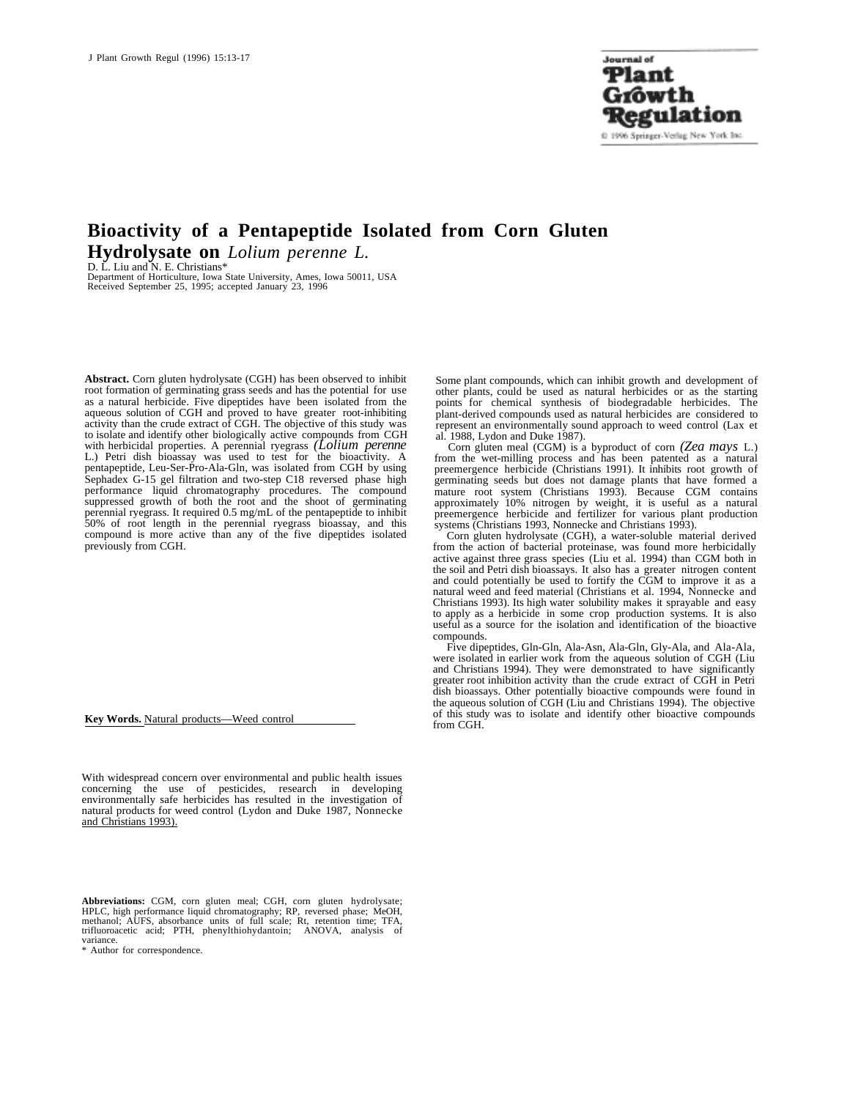**Journal** of Plant Grôwth Regulation @ 1996 Springer-Verlag New York Inc.

# **Bioactivity of a Pentapeptide Isolated from Corn Gluten Hydrolysate on** *Lolium perenne L.*

D. L. Liu and N. E. Christians\*

Department of Horticulture, Iowa State University, Ames, Iowa 50011, USA Received September 25, 1995; accepted January 23, 1996

**Abstract.** Corn gluten hydrolysate (CGH) has been observed to inhibit root formation of germinating grass seeds and has the potential for use as a natural herbicide. Five dipeptides have been isolated from the aqueous solution of CGH and proved to have greater root-inhibiting activity than the crude extract of CGH. The objective of this study was to isolate and identify other biologically active compounds from CGH with herbicidal properties. A perennial ryegrass *(Lolium perenne* L.) Petri dish bioassay was used to test for the bioactivity. A pentapeptide, Leu-Ser-Pro-Ala-Gln, was isolated from CGH by using Sephadex G-15 gel filtration and two-step C18 reversed phase high performance liquid chromatography procedures. The compound suppressed growth of both the root and the shoot of germinating perennial ryegrass. It required 0.5 mg/mL of the pentapeptide to inhibit 50% of root length in the perennial ryegrass bioassay, and this compound is more active than any of the five dipeptides isolated previously from CGH.

**Key Words.** Natural products—Weed control

With widespread concern over environmental and public health issues concerning the use of pesticides, research in developing environmentally safe herbicides has resulted in the investigation of natural products for weed control (Lydon and Duke 1987, Nonnecke and Christians 1993).

**Abbreviations:** CGM, corn gluten meal; CGH, corn gluten hydrolysate; HPLC, high performance liquid chromatography; RP, reversed phase; MeOH, methanol; AUFS, absorbance units of full scale; Rt, retention time; TFA, trifluoroacetic acid; PTH, phenylthiohydantoin; ANOVA, analysis of variance.

\* Author for correspondence.

Some plant compounds, which can inhibit growth and development of other plants, could be used as natural herbicides or as the starting points for chemical synthesis of biodegradable herbicides. The plant-derived compounds used as natural herbicides are considered to represent an environmentally sound approach to weed control (Lax et al. 1988, Lydon and Duke 1987).

Corn gluten meal (CGM) is a byproduct of corn *(Zea mays* L.) from the wet-milling process and has been patented as a natural preemergence herbicide (Christians 1991). It inhibits root growth of germinating seeds but does not damage plants that have formed a mature root system (Christians 1993). Because CGM contains approximately 10% nitrogen by weight, it is useful as a natural preemergence herbicide and fertilizer for various plant production systems (Christians 1993, Nonnecke and Christians 1993).

Corn gluten hydrolysate (CGH), a water-soluble material derived from the action of bacterial proteinase, was found more herbicidally active against three grass species (Liu et al. 1994) than CGM both in the soil and Petri dish bioassays. It also has a greater nitrogen content and could potentially be used to fortify the CGM to improve it as a natural weed and feed material (Christians et al. 1994, Nonnecke and Christians 1993). Its high water solubility makes it sprayable and easy to apply as a herbicide in some crop production systems. It is also useful as a source for the isolation and identification of the bioactive compounds.

Five dipeptides, Gln-Gln, Ala-Asn, Ala-Gln, Gly-Ala, and Ala-Ala, were isolated in earlier work from the aqueous solution of CGH (Liu and Christians 1994). They were demonstrated to have significantly greater root inhibition activity than the crude extract of CGH in Petri dish bioassays. Other potentially bioactive compounds were found in the aqueous solution of CGH (Liu and Christians 1994). The objective of this study was to isolate and identify other bioactive compounds from CGH.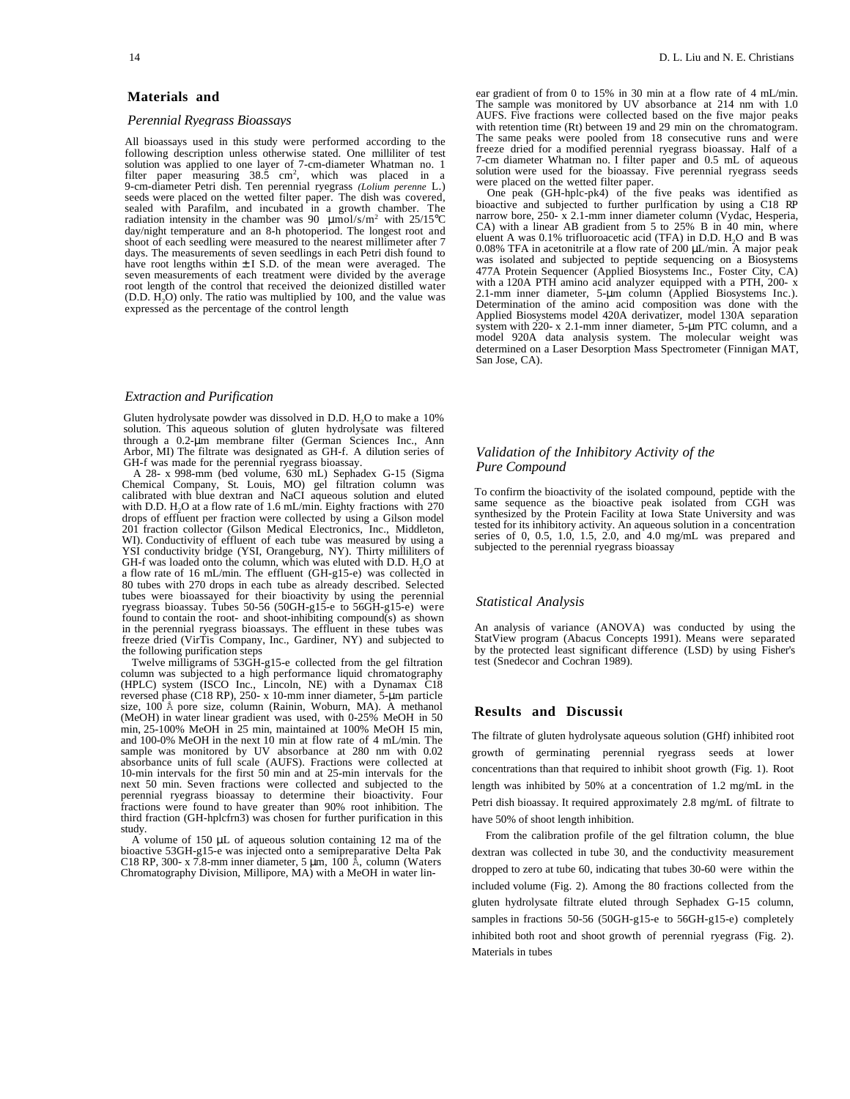## **Materials and**

#### *Perennial Ryegrass Bioassays*

All bioassays used in this study were performed according to the following description unless otherwise stated. One milliliter of test solution was applied to one layer of 7-cm-diameter Whatman no. 1 filter paper measuring  $38.\overline{5}$  cm<sup>2</sup>, which was placed in a 9-cm-diameter Petri dish. Ten perennial ryegrass *(Lolium perenne* L.) seeds were placed on the wetted filter paper. The dish was covered, sealed with Parafilm, and incubated in a growth chamber. The radiation intensity in the chamber was 90  $\mu$ mol/s/m<sup>2</sup> with 25/15°C day/night temperature and an 8-h photoperiod. The longest root and shoot of each seedling were measured to the nearest millimeter after 7 days. The measurements of seven seedlings in each Petri dish found to have root lengths within  $\pm$  I S.D. of the mean were averaged. The seven measurements of each treatment were divided by the average root length of the control that received the deionized distilled water  $(D.D. H<sub>2</sub>O)$  only. The ratio was multiplied by 100, and the value was expressed as the percentage of the control length

## *Extraction and Purification*

Gluten hydrolysate powder was dissolved in D.D. H<sub>2</sub>O to make a 10% solution. This aqueous solution of gluten hydrolysate was filtered through a 0.2-µm membrane filter (German Sciences Inc., Ann Arbor, MI) The filtrate was designated as GH-f. A dilution series of GH-f was made for the perennial ryegrass bioassay.

A 28- x 998-mm (bed volume, 630 mL) Sephadex G-15 (Sigma Chemical Company, St. Louis, MO) gel filtration column was calibrated with blue dextran and NaCI aqueous solution and eluted with D.D. H<sub>2</sub>O at a flow rate of 1.6 mL/min. Eighty fractions with 270 drops of effluent per fraction were collected by using a Gilson model 201 fraction collector (Gilson Medical Electronics, Inc., Middleton, WI). Conductivity of effluent of each tube was measured by using a YSI conductivity bridge (YSI, Orangeburg, NY). Thirty milliliters of GH-f was loaded onto the column, which was eluted with D.D.  $H_2O$  at a flow rate of 16 mL/min. The effluent (GH-g15-e) was collected in 80 tubes with 270 drops in each tube as already described. Selected tubes were bioassayed for their bioactivity by using the perennial ryegrass bioassay. Tubes 50-56 (50GH-g15-e to 56GH-g15-e) were found to contain the root- and shoot-inhibiting compound(s) as shown in the perennial ryegrass bioassays. The effluent in these tubes was freeze dried (VirTis Company, Inc., Gardiner, NY) and subjected to the following purification steps

Twelve milligrams of 53GH-g15-e collected from the gel filtration column was subjected to a high performance liquid chromatography (HPLC) system (ISCO Inc., Lincoln, NE) with a Dynamax C18 reversed phase (C18 RP), 250- x 10-mm inner diameter, 5-µm particle size, 100 Å pore size, column (Rainin, Woburn, MA). A methanol (MeOH) in water linear gradient was used, with 0-25% MeOH in 50 min, 25-100% MeOH in 25 min, maintained at 100% MeOH I5 min, and 100-0% MeOH in the next 10 min at flow rate of 4 mL/min. The sample was monitored by UV absorbance at 280 nm with 0.02 absorbance units of full scale (AUFS). Fractions were collected at 10-min intervals for the first 50 min and at 25-min intervals for the next 50 min. Seven fractions were collected and subjected to the perennial ryegrass bioassay to determine their bioactivity. Four fractions were found to have greater than 90% root inhibition. The third fraction (GH-hplcfrn3) was chosen for further purification in this study.

A volume of  $150 \mu L$  of aqueous solution containing  $12 \text{ ma}$  of the bioactive 53GH-g15-e was injected onto a semipreparative Delta Pak C18 RP, 300- x 7.8-mm inner diameter, 5  $\mu$ m, 100 Å, column (Waters Chromatography Division, Millipore, MA) with a MeOH in water linear gradient of from 0 to 15% in 30 min at a flow rate of 4 mL/min. The sample was monitored by UV absorbance at 214 nm with 1.0 AUFS. Five fractions were collected based on the five major peaks with retention time (Rt) between 19 and 29 min on the chromatogram. The same peaks were pooled from 18 consecutive runs and were freeze dried for a modified perennial ryegrass bioassay. Half of a 7-cm diameter Whatman no. I filter paper and 0.5 mL of aqueous solution were used for the bioassay. Five perennial ryegrass seeds were placed on the wetted filter paper.

One peak (GH-hplc-pk4) of the five peaks was identified as bioactive and subjected to further purlfication by using a C18 RP narrow bore, 250- x 2.1-mm inner diameter column (Vydac, Hesperia, CA) with a linear AB gradient from 5 to 25% B in 40 min, where eluent A was 0.1% trifluoroacetic acid (TFA) in D.D.  $H_2O$  and B was 0.08% TFA in acetonitrile at a flow rate of  $200 \mu L/min$ . A major peak was isolated and subjected to peptide sequencing on a Biosystems 477A Protein Sequencer (Applied Biosystems Inc., Foster City, CA) with a 120A PTH amino acid analyzer equipped with a PTH, 200- x 2.1-mm inner diameter, 5-um column (Applied Biosystems Inc.). Determination of the amino acid composition was done with the Applied Biosystems model 420A derivatizer, model 130A separation system with 220- x 2.1-mm inner diameter, 5-um PTC column, and a model 920A data analysis system. The molecular weight was determined on a Laser Desorption Mass Spectrometer (Finnigan MAT, San Jose, CA).

## *Validation of the Inhibitory Activity of the Pure Compound*

To confirm the bioactivity of the isolated compound, peptide with the same sequence as the bioactive peak isolated from CGH was synthesized by the Protein Facility at Iowa State University and was tested for its inhibitory activity. An aqueous solution in a concentration series of 0, 0.5, 1.0, 1.5, 2.0, and 4.0 mg/mL was prepared and subjected to the perennial ryegrass bioassay

## *Statistical Analysis*

An analysis of variance (ANOVA) was conducted by using the StatView program (Abacus Concepts 1991). Means were separated by the protected least significant difference (LSD) by using Fisher's test (Snedecor and Cochran 1989).

## **Results and Discussio**

The filtrate of gluten hydrolysate aqueous solution (GHf) inhibited root growth of germinating perennial ryegrass seeds at lower concentrations than that required to inhibit shoot growth (Fig. 1). Root length was inhibited by 50% at a concentration of 1.2 mg/mL in the Petri dish bioassay. It required approximately 2.8 mg/mL of filtrate to have 50% of shoot length inhibition.

From the calibration profile of the gel filtration column, the blue dextran was collected in tube 30, and the conductivity measurement dropped to zero at tube 60, indicating that tubes 30-60 were within the included volume (Fig. 2). Among the 80 fractions collected from the gluten hydrolysate filtrate eluted through Sephadex G-15 column, samples in fractions 50-56 (50GH-g15-e to 56GH-g15-e) completely inhibited both root and shoot growth of perennial ryegrass (Fig. 2). Materials in tubes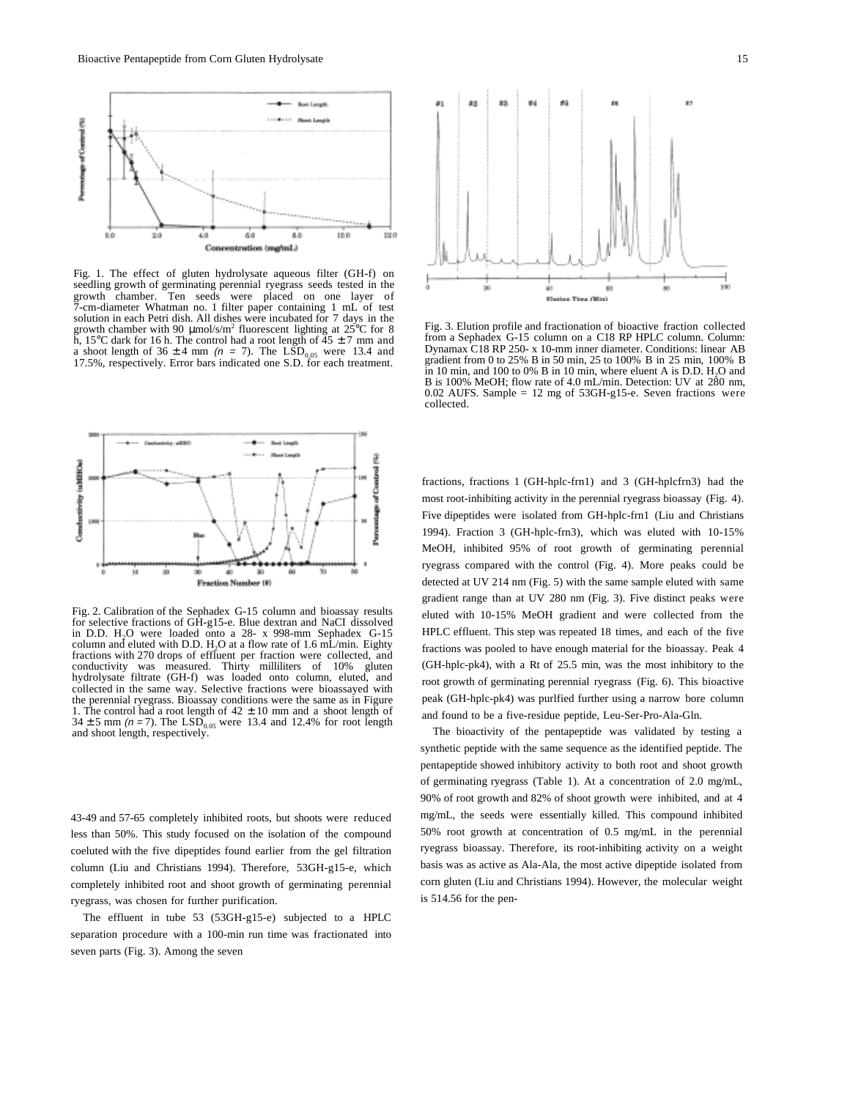

Fig. 1. The effect of gluten hydrolysate aqueous filter (GH-f) on seedling growth of germinating perennial ryegrass seeds tested in the growth chamber. Ten seeds were placed on one layer of 7-cm-diameter Whatman no. 1 filter paper containing 1 mL of test solution in each Petri dish. All dishes were incubated for 7 days in the growth chamber with 90  $\mu$ mol/s/m<sup>2</sup> fluorescent lighting at 25<sup>o</sup>C for 8 h, 15°C dark for 16 h. The control had a root length of  $\overline{45} \pm 7$  mm and a shoot length of  $36 \pm 4$  mm ( $n = 7$ ). The LSD<sub>0.05</sub> were 13.4 and 17.5%, respectively. Error bars indicated one S.D. for each treatment.



Fig. 3. Elution profile and fractionation of bioactive fraction collected from a Sephadex G-15 column on a C18 RP HPLC column. Column: Dynamax C18 RP 250- x 10-mm inner diameter. Conditions: linear AB gradient from 0 to 25% B in 50 min, 25 to 100% B in 25 min, 100% B in 10 min, and 100 to 0% B in 10 min, where eluent A is D.D.  $H<sub>2</sub>O$  and B is 100% MeOH; flow rate of 4.0 mL/min. Detection: UV at 280 nm, 0.02 AUFS. Sample = 12 mg of 53GH-g15-e. Seven fractions were collected.



Fig. 2. Calibration of the Sephadex G-15 column and bioassay results for selective fractions of GH-g15-e. Blue dextran and NaCI dissolved in D.D.  $H<sub>2</sub>O$  were loaded onto a 28- x 998-mm Sephadex G-15 column and eluted with D.D. H<sub>2</sub>O at a flow rate of 1.6 mL/min. Eighty fractions with 270 drops of effluent per fraction were collected, and conductivity was measured. Thirty milliliters of 10% gluten hydrolysate filtrate (GH-f) was loaded onto column, eluted, and collected in the same way. Selective fractions were bioassayed with the perennial ryegrass. Bioassay conditions were the same as in Figure 1. The control had a root length of  $42 \pm 10$  mm and a shoot length of  $34 \pm 5$  mm ( $n = 7$ ). The LSD<sub>0.05</sub> were 13.4 and 12.4% for root length and shoot length, respectively.

43-49 and 57-65 completely inhibited roots, but shoots were reduced less than 50%. This study focused on the isolation of the compound coeluted with the five dipeptides found earlier from the gel filtration column (Liu and Christians 1994). Therefore, 53GH-g15-e, which completely inhibited root and shoot growth of germinating perennial ryegrass, was chosen for further purification.

The effluent in tube 53 (53GH-g15-e) subjected to a HPLC separation procedure with a 100-min run time was fractionated into seven parts (Fig. 3). Among the seven

fractions, fractions 1 (GH-hplc-frn1) and 3 (GH-hplcfrn3) had the most root-inhibiting activity in the perennial ryegrass bioassay (Fig. 4). Five dipeptides were isolated from GH-hplc-frn1 (Liu and Christians 1994). Fraction 3 (GH-hplc-frn3), which was eluted with 10-15% MeOH, inhibited 95% of root growth of germinating perennial ryegrass compared with the control (Fig. 4). More peaks could be detected at UV 214 nm (Fig. 5) with the same sample eluted with same gradient range than at UV 280 nm (Fig. 3). Five distinct peaks were eluted with 10-15% MeOH gradient and were collected from the HPLC effluent. This step was repeated 18 times, and each of the five fractions was pooled to have enough material for the bioassay. Peak 4 (GH-hplc-pk4), with a Rt of 25.5 min, was the most inhibitory to the root growth of germinating perennial ryegrass (Fig. 6). This bioactive peak (GH-hplc-pk4) was purlfied further using a narrow bore column and found to be a five-residue peptide, Leu-Ser-Pro-Ala-Gln.

The bioactivity of the pentapeptide was validated by testing a synthetic peptide with the same sequence as the identified peptide. The pentapeptide showed inhibitory activity to both root and shoot growth of germinating ryegrass (Table 1). At a concentration of 2.0 mg/mL, 90% of root growth and 82% of shoot growth were inhibited, and at 4 mg/mL, the seeds were essentially killed. This compound inhibited 50% root growth at concentration of 0.5 mg/mL in the perennial ryegrass bioassay. Therefore, its root-inhibiting activity on a weight basis was as active as Ala-Ala, the most active dipeptide isolated from corn gluten (Liu and Christians 1994). However, the molecular weight is 514.56 for the pen-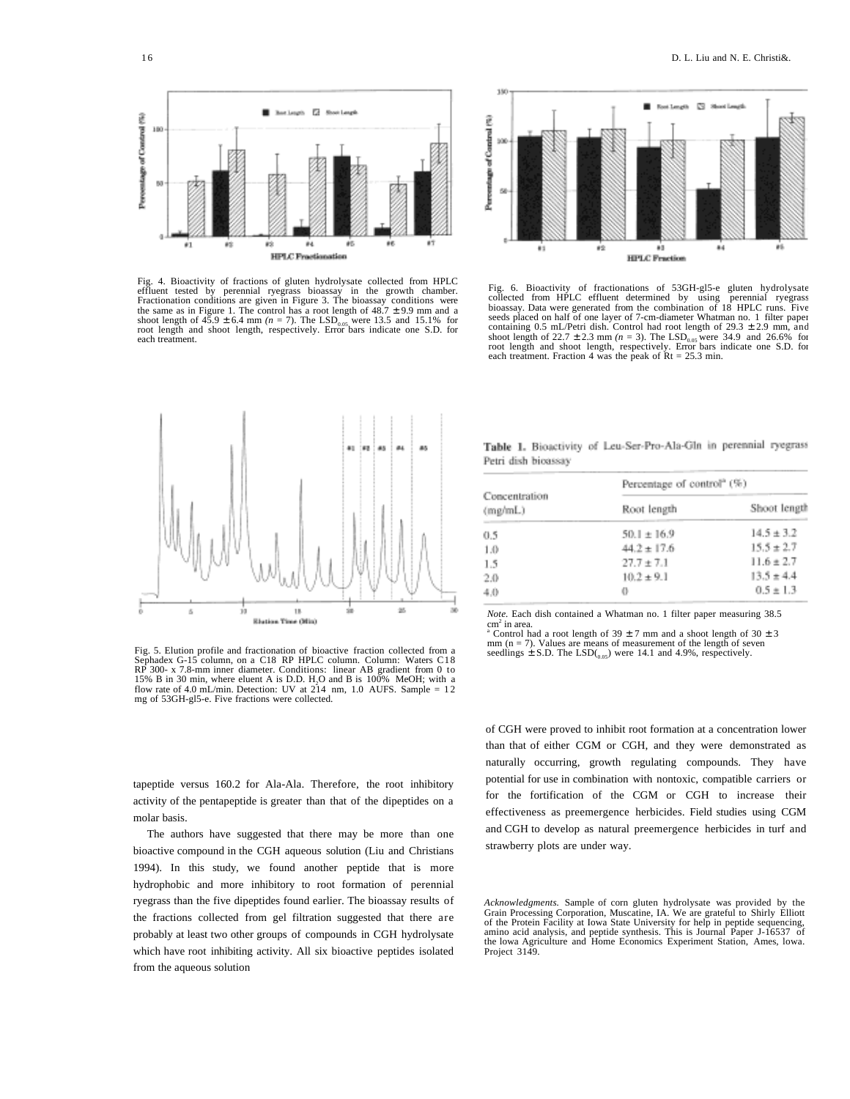

Fig. 4. Bioactivity of fractions of gluten hydrolysate collected from HPLC effluent tested by perennial ryegrass bioassay in the growth chamber.<br>Fractionation conditions are given in Figure 3. The bioassay conditions were<br>the same as in Figure 1. The control has a root length of 48.7 ± 9.9 mm an shoot length of  $45.9 \pm 6.4$  mm ( $n = 7$ ). The LSD<sub>0.05</sub> were 13.5 and 15.1% for root length and shoot length, respectively. Error bars indicate one S.D. for each treatment.



Fig. 6. Bioactivity of fractionations of 53GH-gl5-e gluten hydrolysate collected from HPLC effluent determined by using perennial ryegrass bioassay. Data were generated from the combination of 18 HPLC runs. Five seeds placed on half of one layer of 7-cm-diameter Whatman no. 1 filter paper containing 0.5 mL/Petri dish. Control had root length of 29.3  $\pm$  2.9 mm, and shoot length of 22.7 ± 2.3 mm *(n* = 3). The LSD<sub>0.05</sub> were 34.9 and 26.6% for root length and shoot length, respectively. Error bars indicate one S.D. for each treatment. Fraction 4 was the peak of Rt = 25.3 min.



Fig. 5. Elution profile and fractionation of bioactive fraction collected from a Sephadex G-15 column, on a C18 RP HPLC column. Column: Waters C18 RP 300- x 7.8-mm inner diameter. Conditions: linear AB gradient from 0 to<br>15% B in 30 min, where eluent A is D.D. H<sub>2</sub>O and B is 100% MeOH; with a<br>flow rate of 4.0 mL/min. Detection: UV at 214 nm, 1.0 AUFS. Sample = 12 mg of 53GH-gl5-e. Five fractions were collected.

tapeptide versus 160.2 for Ala-Ala. Therefore, the root inhibitory activity of the pentapeptide is greater than that of the dipeptides on a molar basis.

The authors have suggested that there may be more than one bioactive compound in the CGH aqueous solution (Liu and Christians 1994). In this study, we found another peptide that is more hydrophobic and more inhibitory to root formation of perennial ryegrass than the five dipeptides found earlier. The bioassay results of the fractions collected from gel filtration suggested that there are probably at least two other groups of compounds in CGH hydrolysate which have root inhibiting activity. All six bioactive peptides isolated from the aqueous solution

Table 1. Bioactivity of Leu-Ser-Pro-Ala-Gln in perennial ryegrass Petri dish bioassay

| Concentration<br>(mg/mL) | Percentage of control <sup>®</sup> (%) |                |
|--------------------------|----------------------------------------|----------------|
|                          | Root length                            | Shoot length   |
| 0.5                      | $50.1 \pm 16.9$                        | $14.5 \pm 3.2$ |
| 1.0                      | $44.2 \pm 17.6$                        | $15.5 \pm 2.7$ |
| 1.5                      | $27.7 \pm 7.1$                         | $11.6 \pm 2.7$ |
| 2.0                      | $10.2 \pm 9.1$                         | $13.5 \pm 4.4$ |
| 4.0                      | 0                                      | $0.5 \pm 1.3$  |

*Note.* Each dish contained a Whatman no. 1 filter paper measuring 38.5 cm<sup>2</sup> in area.<br>
a Control had a root length of  $39 \pm 7$  mm and a shoot length of  $30 \pm 3$ 

 $mm$  ( $n = 7$ ). Values are means of measurement of the length of seven seedlings  $\pm$  S.D. The LSD(<sub>0.05</sub>) were 14.1 and 4.9%, respectively.

of CGH were proved to inhibit root formation at a concentration lower than that of either CGM or CGH, and they were demonstrated as naturally occurring, growth regulating compounds. They have potential for use in combination with nontoxic, compatible carriers or for the fortification of the CGM or CGH to increase their effectiveness as preemergence herbicides. Field studies using CGM and CGH to develop as natural preemergence herbicides in turf and strawberry plots are under way.

*Acknowledgments.* Sample of corn gluten hydrolysate was provided by the Grain Processing Corporation, Muscatine, IA. We are grateful to Shirly Elliott of the Protein Facility at Iowa State University for help in peptide sequencing, amino acid analysis, and peptide synthesis. This is Journal Paper J-16537 of the lowa Agriculture and Home Economics Experiment Station, Ames, lowa. Project 3149.